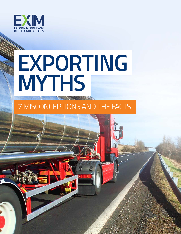

# **EXPORTING MYTHS**

## 7 MISCONCEPTIONS AND THE FACTS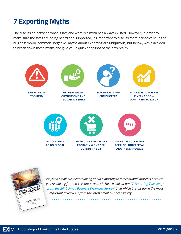# **7 Exporting Myths**

The discussion between what is fact and what is a myth has always existed. However, in order to make sure the facts are being heard and supported, it's important to discuss them periodically. In the business world, common "negative" myths about exporting are ubiquitous, but below, we've decided to break down these myths and give you a quick snapshot of the new reality.



*you're looking for new revenue streams? Take a look at our ["7 Exporting Takeaways](http://grow.exim.gov/blog/7-exporting-takeaways-exporting-survey?utm_campaign=workflow-collateral&utm_medium=whitepaper&utm_source=AT-Collateral)  [from the 2016 Small Business Exporting Survey"](http://grow.exim.gov/blog/7-exporting-takeaways-exporting-survey?utm_campaign=workflow-collateral&utm_medium=whitepaper&utm_source=AT-Collateral) blog which breaks down the most important takeaways from the latest small business survey.* 

BUSINES SURVEY

NSBA SBEA

EXPORTING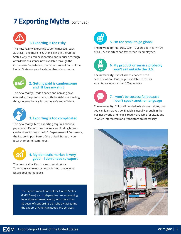## **7 Exporting Myths (continued)**



#### **1. Exporting is too risky**

**The new reality:** Exporting to some markets, such as Brazil, is no more risky than selling in the United States. Any risk can be identified and reduced through affordable assistance now available through the Commerce Department, the Export-Import Bank of the United States or your local chamber of commerce.



#### **2. Getting paid is cumbersome and I'll lose my shirt**

**The new reality:** Trade finance and banking have evolved to the point where, with the right tools, selling things internationally is routine, safe and efficient.



#### **3. Exporting is too complicated**

**The new reality:** Most exporting requires minimal paperwork. Researching markets and finding buyers can be done through the U.S. Department of Commerce, the Export-Import Bank of the United States or your local chamber of commerce.



#### **4. My domestic market is very good—I don't need to export**

**The new reality:** Few markets remain static. To remain viable most companies must recognize it's a global marketplace.

> The Export-Import Bank of the United States (EXIM Bank) is an independent, self-sustaining federal government agency with more than 80 years of supporting U.S. jobs by facilitating the export of American goods and services.



#### **5. I'm too small to go global**

**The new reality:** Not true. Even 10 years ago, nearly 42% of all U.S. exporters had fewer than 19 employees.



#### **6. My product or service probably won't sell outside the U.S.**

**The new reality:** If it sells here, chances are it sells elsewhere. Plus, help is available to test its acceptance in more than 100 countries.



#### **7. I won't be successful because I don't speak another language**

**The new reality:** Cultural knowledge is always helpful, but you can learn as you go. English is usually enough in the business world and help is readily available for situations in which interpreters and translators are necessary.